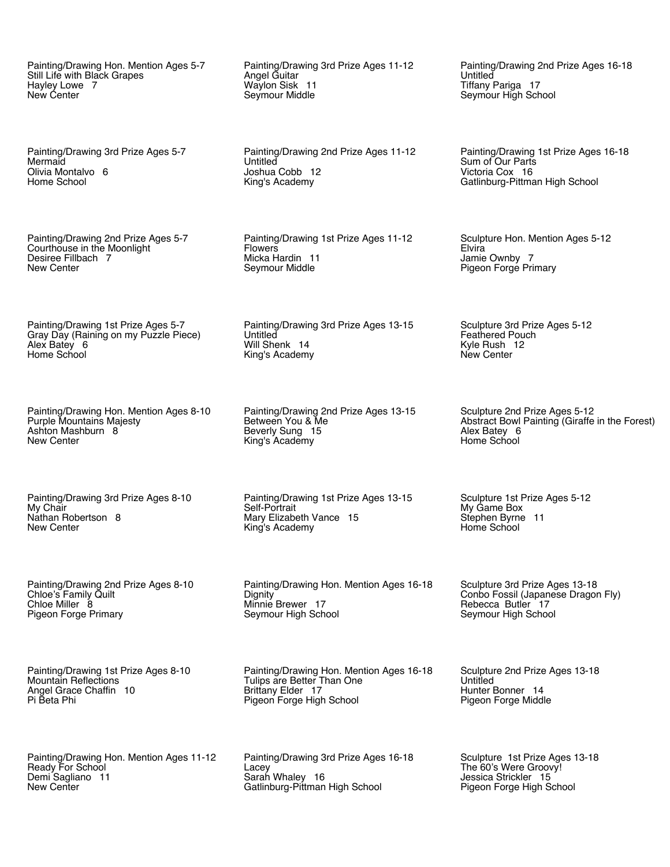Painting/Drawing Hon. Mention Ages 5-7 Still Life with Black Grapes Hayley Lowe 7 New Center

Painting/Drawing 3rd Prize Ages 5-7 Mermaid Olivia Montalvo 6 Home School

Painting/Drawing 2nd Prize Ages 5-7 Courthouse in the Moonlight Desiree Fillbach 7 New Center

Painting/Drawing 1st Prize Ages 5-7 Gray Day (Raining on my Puzzle Piece) Alex Batey 6 Home School

Painting/Drawing Hon. Mention Ages 8-10 Purple Mountains Majesty Ashton Mashburn 8 New Center

Painting/Drawing 3rd Prize Ages 8-10 My Chair Nathan Robertson 8 New Center

Painting/Drawing 2nd Prize Ages 8-10 Chloe's Family Quilt Chloe Miller 8 Pigeon Forge Primary

Painting/Drawing 1st Prize Ages 8-10 Mountain Reflections Angel Grace Chaffin 10 Pi Beta Phi

Painting/Drawing Hon. Mention Ages 11-12 Ready For School Demi Sagliano 11 New Center

Painting/Drawing 3rd Prize Ages 11-12 Angel Guitar Waylon Sisk 11 Seymour Middle

Painting/Drawing 2nd Prize Ages 11-12 **Untitled** Joshua Cobb 12 King's Academy

Painting/Drawing 1st Prize Ages 11-12 Flowers Micka Hardin 11 Seymour Middle

Painting/Drawing 3rd Prize Ages 13-15 Untitled Will Shenk 14 King's Academy

Painting/Drawing 2nd Prize Ages 13-15 Between You & Me Beverly Sung 15 King's Academy

Painting/Drawing 1st Prize Ages 13-15 Self-Portrait Mary Elizabeth Vance 15 King's Academy

Painting/Drawing Hon. Mention Ages 16-18 **Dignity** Minnie Brewer 17 Seymour High School

Painting/Drawing Hon. Mention Ages 16-18 Tulips are Better Than One Brittany Elder 17 Pigeon Forge High School

Painting/Drawing 3rd Prize Ages 16-18 Lacey Sarah Whaley 16 Gatlinburg-Pittman High School

Painting/Drawing 2nd Prize Ages 16-18 Untitled Tiffany Pariga 17 Seymour High School

Painting/Drawing 1st Prize Ages 16-18 Sum of Our Parts Victoria Cox 16 Gatlinburg-Pittman High School

Sculpture Hon. Mention Ages 5-12 Elvira Jamie Ownby 7 Pigeon Forge Primary

Sculpture 3rd Prize Ages 5-12 Feathered Pouch Kyle Rush 12 New Center

Sculpture 2nd Prize Ages 5-12 Abstract Bowl Painting (Giraffe in the Forest) Alex Batey 6 Home School

Sculpture 1st Prize Ages 5-12 My Game Box Stephen Byrne 11 Home School

Sculpture 3rd Prize Ages 13-18 Conbo Fossil (Japanese Dragon Fly) Rebecca Butler 17 Seymour High School

Sculpture 2nd Prize Ages 13-18 **Untitled** Hunter Bonner 14 Pigeon Forge Middle

Sculpture 1st Prize Ages 13-18 The 60's Were Groovy! Jessica Strickler 15 Pigeon Forge High School